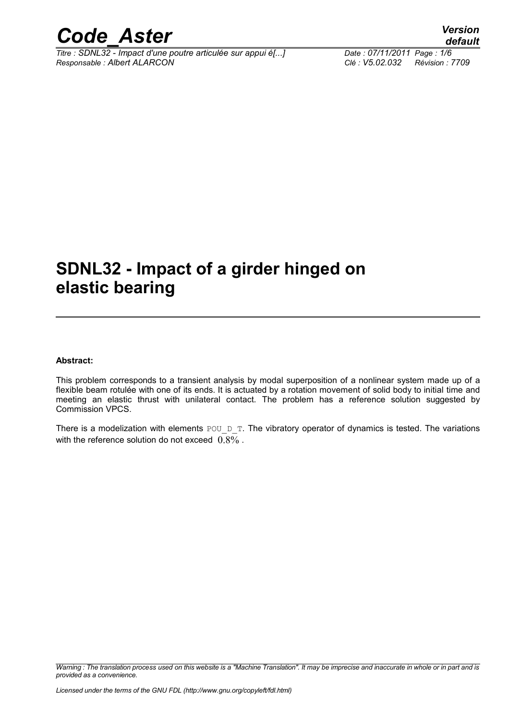

*Titre : SDNL32 - Impact d'une poutre articulée sur appui é[...] Date : 07/11/2011 Page : 1/6 Responsable : Albert ALARCON Clé : V5.02.032 Révision : 7709*

### **SDNL32 - Impact of a girder hinged on elastic bearing**

#### **Abstract:**

This problem corresponds to a transient analysis by modal superposition of a nonlinear system made up of a flexible beam rotulée with one of its ends. It is actuated by a rotation movement of solid body to initial time and meeting an elastic thrust with unilateral contact. The problem has a reference solution suggested by Commission VPCS.

There is a modelization with elements POU  $D$  T. The vibratory operator of dynamics is tested. The variations with the reference solution do not exceed  $0.8\%$ .

*Warning : The translation process used on this website is a "Machine Translation". It may be imprecise and inaccurate in whole or in part and is provided as a convenience.*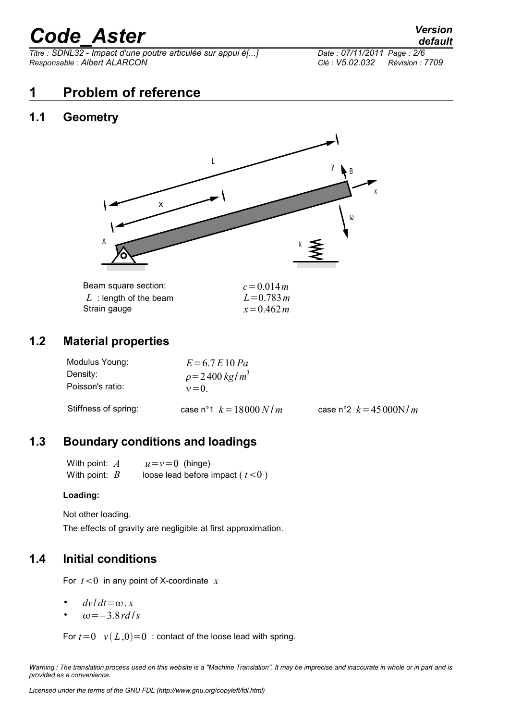*Titre : SDNL32 - Impact d'une poutre articulée sur appui é[...] Date : 07/11/2011 Page : 2/6 Responsable : Albert ALARCON Clé : V5.02.032 Révision : 7709*

#### **1 Problem of reference**

#### **1.1 Geometry**



#### **1.2 Material properties**

| Modulus Young:<br>Density: | $E = 6.7 E 10 Pa$<br>$\rho = 2400 \frac{kg}{m^3}$ |                          |
|----------------------------|---------------------------------------------------|--------------------------|
| Poisson's ratio:           | $v=0$                                             |                          |
| Stiffness of spring:       | case n°1 $k = 18000 N/m$                          | case n°2 $k = 45000$ N/m |

#### **1.3 Boundary conditions and loadings**

With point:  $A$   $u=v=0$  (hinge) With point:  $B$  loose lead before impact ( $t < 0$ )

#### **Loading:**

Not other loading.

The effects of gravity are negligible at first approximation.

#### **1.4 Initial conditions**

For  $t < 0$  in any point of X-coordinate  $x$ 

- $dv/dt = \omega x$
- $\omega = -3.8$ *rd* /*s*

For  $t=0$   $v(L,0)=0$  : contact of the loose lead with spring.

*Warning : The translation process used on this website is a "Machine Translation". It may be imprecise and inaccurate in whole or in part and is provided as a convenience.*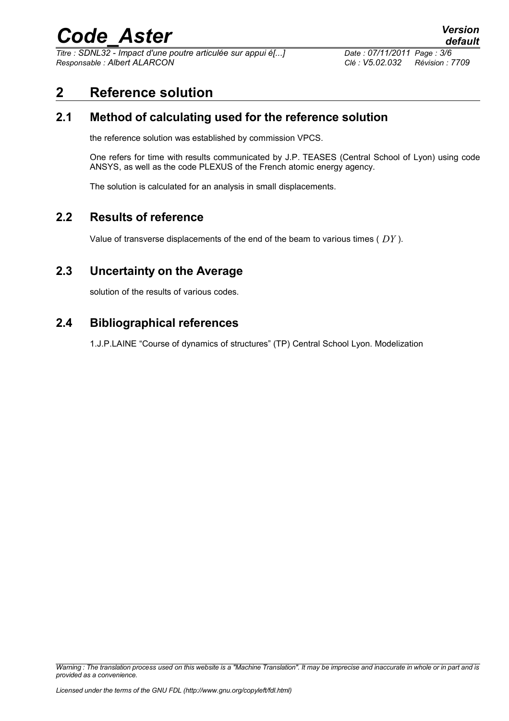*Titre : SDNL32 - Impact d'une poutre articulée sur appui é[...] Date : 07/11/2011 Page : 3/6 Responsable : Albert ALARCON Clé : V5.02.032 Révision : 7709*

*default*

#### **2 Reference solution**

#### **2.1 Method of calculating used for the reference solution**

the reference solution was established by commission VPCS.

One refers for time with results communicated by J.P. TEASES (Central School of Lyon) using code ANSYS, as well as the code PLEXUS of the French atomic energy agency.

The solution is calculated for an analysis in small displacements.

#### **2.2 Results of reference**

Value of transverse displacements of the end of the beam to various times ( *DY* ).

#### **2.3 Uncertainty on the Average**

solution of the results of various codes.

#### **2.4 Bibliographical references**

1.J.P.LAINE "Course of dynamics of structures" (TP) Central School Lyon. Modelization

*Warning : The translation process used on this website is a "Machine Translation". It may be imprecise and inaccurate in whole or in part and is provided as a convenience.*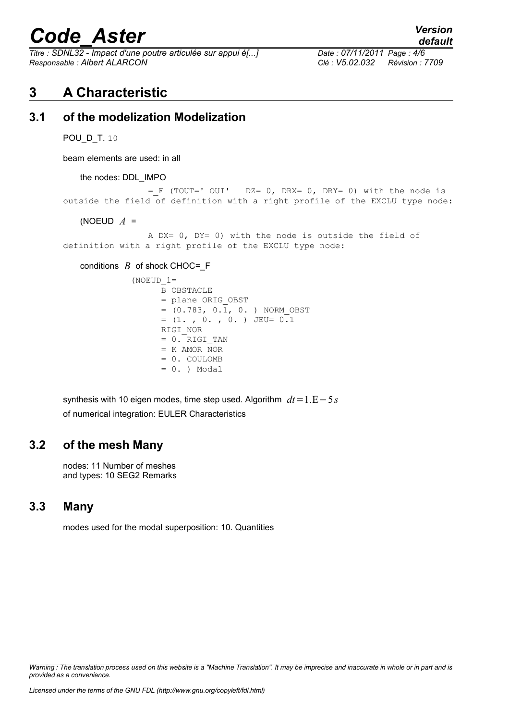*Titre : SDNL32 - Impact d'une poutre articulée sur appui é[...] Date : 07/11/2011 Page : 4/6 Responsable : Albert ALARCON Clé : V5.02.032 Révision : 7709*

#### **3 A Characteristic**

#### **3.1 of the modelization Modelization**

POU\_D\_T. 10

beam elements are used: in all

the nodes: DDL\_IMPO

 $=$  F (TOUT=' OUI' DZ= 0, DRX= 0, DRY= 0) with the node is outside the field of definition with a right profile of the EXCLU type node:

(NOEUD *A* =

A DX= 0, DY= 0) with the node is outside the field of definition with a right profile of the EXCLU type node:

conditions  $B$  of shock CHOC=  $F$ 

```
(NOEUD 1= B OBSTACLE
 = plane ORIG_OBST
= (0.783, 0.1, 0. ) NORM OBST
= (1. , 0. , 0. ) JEU= 0.1 RIGI_NOR
 = 0. RIGI_TAN
= K AMOR NOR
 = 0. COULOMB
= 0. ) Modal
```
synthesis with 10 eigen modes, time step used. Algorithm *dt*=1.E−5*s* of numerical integration: EULER Characteristics

#### **3.2 of the mesh Many**

nodes: 11 Number of meshes and types: 10 SEG2 Remarks

#### **3.3 Many**

modes used for the modal superposition: 10. Quantities

*Warning : The translation process used on this website is a "Machine Translation". It may be imprecise and inaccurate in whole or in part and is provided as a convenience.*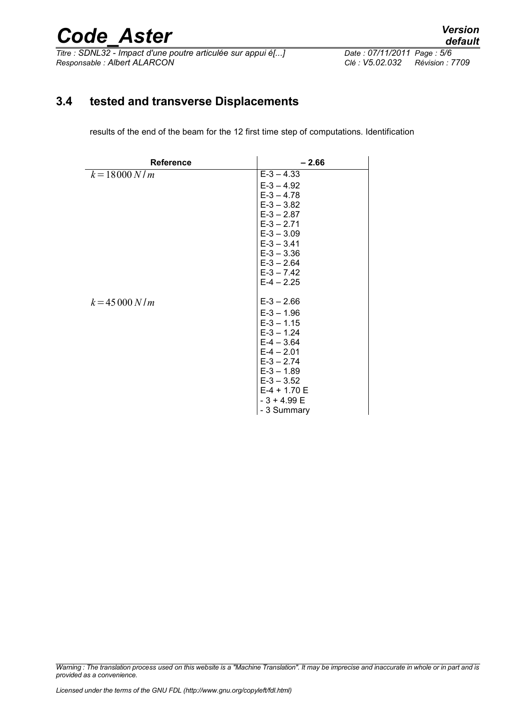*Titre : SDNL32 - Impact d'une poutre articulée sur appui é[...] Date : 07/11/2011 Page : 5/6 Responsable : Albert ALARCON Clé : V5.02.032 Révision : 7709*

#### **3.4 tested and transverse Displacements**

results of the end of the beam for the 12 first time step of computations. Identification

| <b>Reference</b> | $-2.66$                                                                       |  |
|------------------|-------------------------------------------------------------------------------|--|
| $k = 18000 N/m$  | $E - 3 - 4.33$                                                                |  |
|                  | $E-3 - 4.92$                                                                  |  |
|                  | $E-3 - 4.78$                                                                  |  |
|                  | $E - 3 - 3.82$                                                                |  |
|                  | $E - 3 - 2.87$                                                                |  |
|                  | $E-3 - 2.71$                                                                  |  |
|                  | $E-3 - 3.09$                                                                  |  |
|                  | $E - 3 - 3.41$<br>$E - 3 - 3.36$                                              |  |
|                  | $E-3 - 2.64$                                                                  |  |
|                  | $E - 3 - 7.42$                                                                |  |
|                  | $E-4 - 2.25$                                                                  |  |
|                  |                                                                               |  |
| $k = 45000 N/m$  | $E-3 - 2.66$                                                                  |  |
|                  | $E-3 - 1.96$                                                                  |  |
|                  | $E - 3 - 1.15$                                                                |  |
|                  | $E-3 - 1.24$                                                                  |  |
|                  | $E-4 - 3.64$                                                                  |  |
|                  | $E-4 - 2.01$                                                                  |  |
|                  | $E - 3 - 2.74$                                                                |  |
|                  |                                                                               |  |
|                  |                                                                               |  |
|                  |                                                                               |  |
|                  |                                                                               |  |
|                  | $E-3 - 1.89$<br>$E-3 - 3.52$<br>$E-4 + 1.70E$<br>$-3 + 4.99 E$<br>- 3 Summary |  |

*Warning : The translation process used on this website is a "Machine Translation". It may be imprecise and inaccurate in whole or in part and is provided as a convenience.*